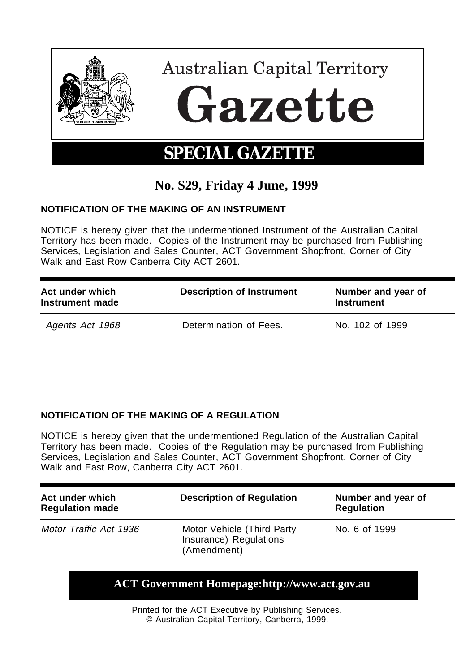

## **No. S29, Friday 4 June, 1999**

## **NOTIFICATION OF THE MAKING OF AN INSTRUMENT**

NOTICE is hereby given that the undermentioned Instrument of the Australian Capital Territory has been made. Copies of the Instrument may be purchased from Publishing Services, Legislation and Sales Counter, ACT Government Shopfront, Corner of City Walk and East Row Canberra City ACT 2601.

| Act under which<br>Instrument made | <b>Description of Instrument</b> | Number and year of<br><b>Instrument</b> |
|------------------------------------|----------------------------------|-----------------------------------------|
| Agents Act 1968                    | Determination of Fees.           | No. 102 of 1999                         |

## **NOTIFICATION OF THE MAKING OF A REGULATION**

NOTICE is hereby given that the undermentioned Regulation of the Australian Capital Territory has been made. Copies of the Regulation may be purchased from Publishing Services, Legislation and Sales Counter, ACT Government Shopfront, Corner of City Walk and East Row, Canberra City ACT 2601.

| Act under which<br><b>Regulation made</b> | <b>Description of Regulation</b>                                    | Number and year of<br><b>Regulation</b> |
|-------------------------------------------|---------------------------------------------------------------------|-----------------------------------------|
| Motor Traffic Act 1936                    | Motor Vehicle (Third Party<br>Insurance) Regulations<br>(Amendment) | No. 6 of 1999                           |

## **ACT Government Homepage:http://www.act.gov.au**

Printed for the ACT Executive by Publishing Services. © Australian Capital Territory, Canberra, 1999.